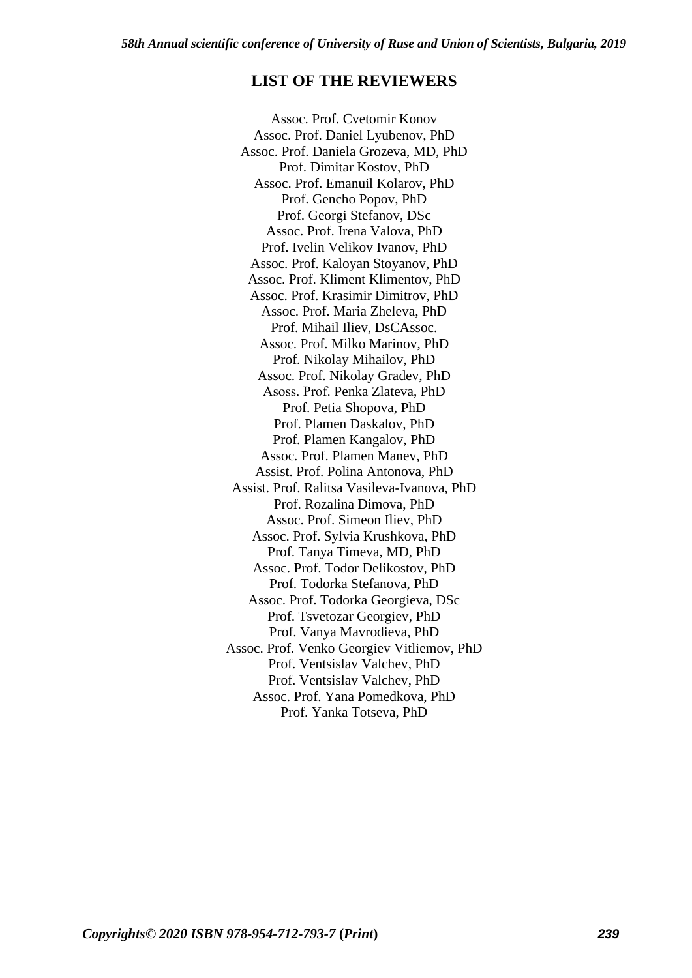## **LIST OF THE REVIEWERS**

Assoc. Prof. Cvetomir Konov Assoc. Prof. Daniel Lyubenov, PhD Assoc. Prof. Daniela Grozeva, MD, PhD Prof. Dimitar Kostov, PhD Assoc. Prof. Emanuil Kolarov, PhD Prof. Gencho Popov, PhD Prof. Georgi Stefanov, DSc Assoc. Prof. Irena Valova, PhD Prof. Ivelin Velikov Ivanov, PhD Assoc. Prof. Kaloyan Stoyanov, PhD Assoc. Prof. Kliment Klimentov, PhD Assoc. Prof. Krasimir Dimitrov, PhD Assoc. Prof. Maria Zheleva, PhD Prof. Mihail Iliev, DsCAssoc. Assoc. Prof. Milko Marinov, PhD Prof. Nikolay Mihailov, PhD Assoc. Prof. Nikolay Gradev, PhD Аsoss. Prof. Penka Zlateva, PhD Prof. Petia Shopova, PhD Prof. Plamen Daskalov, PhD Prof. Plamen Kangalov, PhD Assoc. Prof. Plamen Manev, PhD Assist. Prof. Polina Antonova, PhD Assist. Prof. Ralitsa Vasileva-Ivanova, PhD Prof. Rozalina Dimova, PhD Assoc. Prof. Simeon Iliev, PhD Assoc. Prof. Sylvia Krushkova, PhD Prof. Tanya Timeva, MD, PhD Assoc. Prof. Todor Delikostov, PhD Prof. Todorka Stefanova, PhD Assoc. Prof. Todorka Georgieva, DSc Prof. Tsvetozar Georgiev, PhD Prof. Vanya Mavrodieva, PhD Assoc. Prof. Venko Georgiev Vitliemov, PhD Prof. Ventsislav Valchev, PhD Prof. Ventsislav Valchev, PhD Assoc. Prof. Yana Pomedkova, PhD Prof. Yanka Totseva, PhD